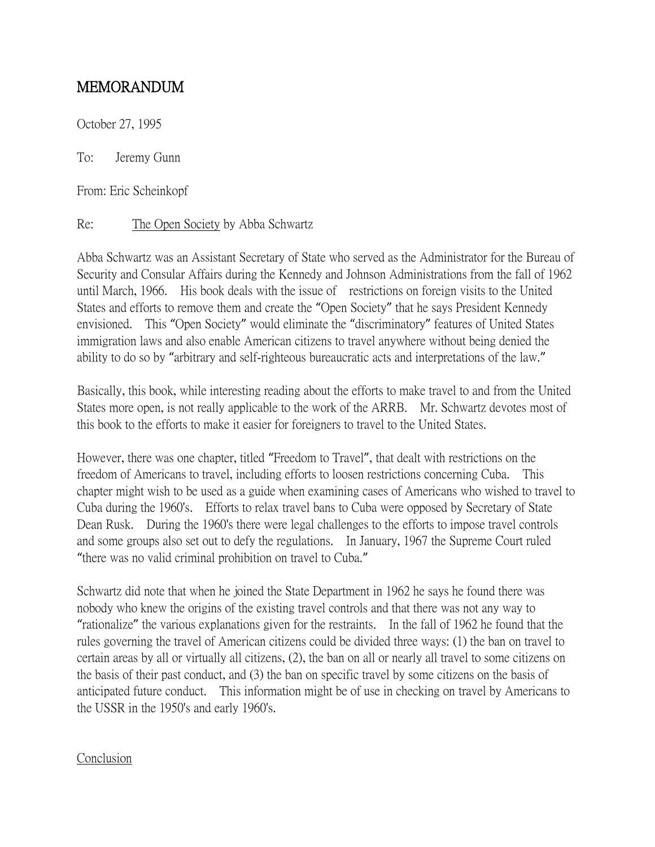## MEMORANDUM

October 27, 1995

To: Jeremy Gunn

From: Eric Scheinkopf

Re: The Open Society by Abba Schwartz

Abba Schwartz was an Assistant Secretary of State who served as the Administrator for the Bureau of Security and Consular Affairs during the Kennedy and Johnson Administrations from the fall of 1962 until March, 1966. His book deals with the issue of restrictions on foreign visits to the United States and efforts to remove them and create the "Open Society" that he says President Kennedy envisioned. This "Open Society" would eliminate the "discriminatory" features of United States immigration laws and also enable American citizens to travel anywhere without being denied the ability to do so by "arbitrary and self-righteous bureaucratic acts and interpretations of the law."

Basically, this book, while interesting reading about the efforts to make travel to and from the United States more open, is not really applicable to the work of the ARRB. Mr. Schwartz devotes most of this book to the efforts to make it easier for foreigners to travel to the United States.

However, there was one chapter, titled "Freedom to Travel", that dealt with restrictions on the freedom of Americans to travel, including efforts to loosen restrictions concerning Cuba. This chapter might wish to be used as a guide when examining cases of Americans who wished to travel to Cuba during the 1960's. Efforts to relax travel bans to Cuba were opposed by Secretary of State Dean Rusk. During the 1960's there were legal challenges to the efforts to impose travel controls and some groups also set out to defy the regulations. In January, 1967 the Supreme Court ruled "there was no valid criminal prohibition on travel to Cuba."

Schwartz did note that when he joined the State Department in 1962 he says he found there was nobody who knew the origins of the existing travel controls and that there was not any way to "rationalize" the various explanations given for the restraints. In the fall of 1962 he found that the rules governing the travel of American citizens could be divided three ways: (1) the ban on travel to certain areas by all or virtually all citizens, (2), the ban on all or nearly all travel to some citizens on the basis of their past conduct, and (3) the ban on specific travel by some citizens on the basis of anticipated future conduct. This information might be of use in checking on travel by Americans to the USSR in the 1950's and early 1960's.

## **Conclusion**